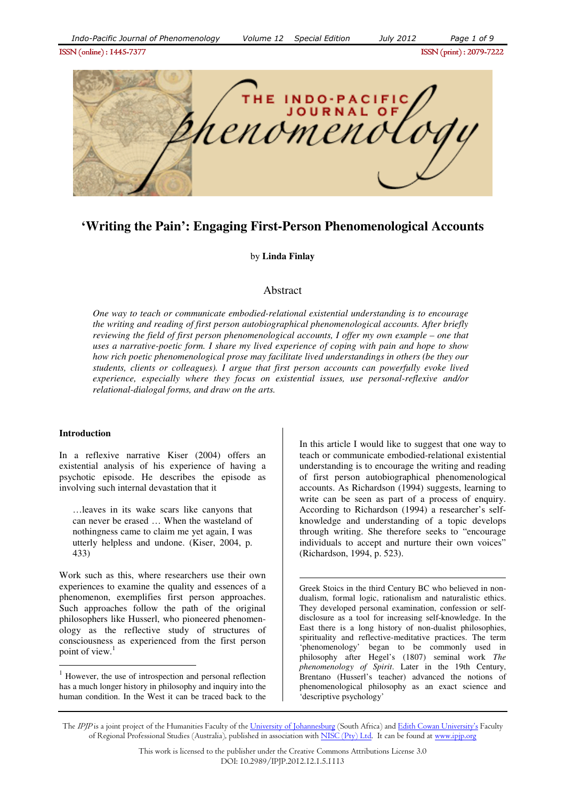

# **'Writing the Pain': Engaging First-Person Phenomenological Accounts**

by **Linda Finlay** 

# Abstract

*One way to teach or communicate embodied-relational existential understanding is to encourage the writing and reading of first person autobiographical phenomenological accounts. After briefly reviewing the field of first person phenomenological accounts, I offer my own example – one that uses a narrative-poetic form. I share my lived experience of coping with pain and hope to show how rich poetic phenomenological prose may facilitate lived understandings in others (be they our students, clients or colleagues). I argue that first person accounts can powerfully evoke lived experience, especially where they focus on existential issues, use personal-reflexive and/or relational-dialogal forms, and draw on the arts.* 

# **Introduction**

 $\overline{a}$ 

In a reflexive narrative Kiser (2004) offers an existential analysis of his experience of having a psychotic episode. He describes the episode as involving such internal devastation that it

…leaves in its wake scars like canyons that can never be erased … When the wasteland of nothingness came to claim me yet again, I was utterly helpless and undone. (Kiser, 2004, p. 433)

Work such as this, where researchers use their own experiences to examine the quality and essences of a phenomenon, exemplifies first person approaches. Such approaches follow the path of the original philosophers like Husserl, who pioneered phenomenology as the reflective study of structures of consciousness as experienced from the first person point of view.<sup>1</sup>

In this article I would like to suggest that one way to teach or communicate embodied-relational existential understanding is to encourage the writing and reading of first person autobiographical phenomenological accounts. As Richardson (1994) suggests, learning to write can be seen as part of a process of enquiry. According to Richardson (1994) a researcher's selfknowledge and understanding of a topic develops through writing. She therefore seeks to "encourage individuals to accept and nurture their own voices" (Richardson, 1994, p. 523).

 $\overline{a}$ Greek Stoics in the third Century BC who believed in nondualism, formal logic, rationalism and naturalistic ethics. They developed personal examination, confession or selfdisclosure as a tool for increasing self-knowledge. In the East there is a long history of non-dualist philosophies, spirituality and reflective-meditative practices. The term 'phenomenology' began to be commonly used in philosophy after Hegel's (1807) seminal work *The phenomenology of Spirit*. Later in the 19th Century, Brentano (Husserl's teacher) advanced the notions of phenomenological philosophy as an exact science and 'descriptive psychology'

<sup>&</sup>lt;sup>1</sup> However, the use of introspection and personal reflection has a much longer history in philosophy and inquiry into the human condition. In the West it can be traced back to the

The IPJP is a joint project of the Humanities Faculty of the University of Johannesburg (South Africa) and Edith Cowan University's Faculty of Regional Professional Studies (Australia), published in association with NISC (Pty) Ltd. It can be found at www.ipjp.org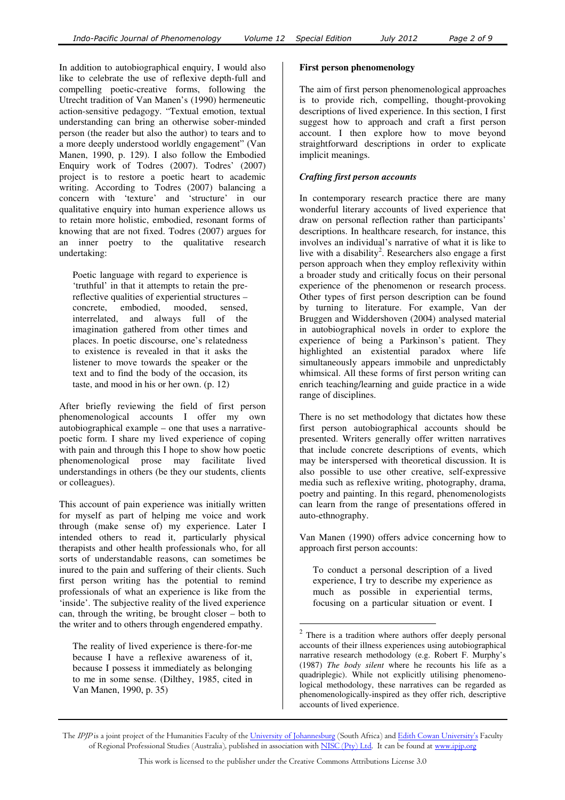In addition to autobiographical enquiry, I would also like to celebrate the use of reflexive depth-full and compelling poetic-creative forms, following the Utrecht tradition of Van Manen's (1990) hermeneutic action-sensitive pedagogy. "Textual emotion, textual understanding can bring an otherwise sober-minded person (the reader but also the author) to tears and to a more deeply understood worldly engagement" (Van Manen, 1990, p. 129). I also follow the Embodied Enquiry work of Todres (2007). Todres' (2007) project is to restore a poetic heart to academic writing. According to Todres (2007) balancing a concern with 'texture' and 'structure' in our qualitative enquiry into human experience allows us to retain more holistic, embodied, resonant forms of knowing that are not fixed. Todres (2007) argues for an inner poetry to the qualitative research undertaking:

Poetic language with regard to experience is 'truthful' in that it attempts to retain the prereflective qualities of experiential structures – concrete, embodied, mooded, sensed, interrelated, and always full of the imagination gathered from other times and places. In poetic discourse, one's relatedness to existence is revealed in that it asks the listener to move towards the speaker or the text and to find the body of the occasion, its taste, and mood in his or her own. (p. 12)

After briefly reviewing the field of first person phenomenological accounts I offer my own autobiographical example – one that uses a narrativepoetic form. I share my lived experience of coping with pain and through this I hope to show how poetic phenomenological prose may facilitate lived understandings in others (be they our students, clients or colleagues).

This account of pain experience was initially written for myself as part of helping me voice and work through (make sense of) my experience. Later I intended others to read it, particularly physical therapists and other health professionals who, for all sorts of understandable reasons, can sometimes be inured to the pain and suffering of their clients. Such first person writing has the potential to remind professionals of what an experience is like from the 'inside'. The subjective reality of the lived experience can, through the writing, be brought closer – both to the writer and to others through engendered empathy.

The reality of lived experience is there-for-me because I have a reflexive awareness of it, because I possess it immediately as belonging to me in some sense. (Dilthey, 1985, cited in Van Manen, 1990, p. 35)

## **First person phenomenology**

The aim of first person phenomenological approaches is to provide rich, compelling, thought-provoking descriptions of lived experience. In this section, I first suggest how to approach and craft a first person account. I then explore how to move beyond straightforward descriptions in order to explicate implicit meanings.

## *Crafting first person accounts*

In contemporary research practice there are many wonderful literary accounts of lived experience that draw on personal reflection rather than participants' descriptions. In healthcare research, for instance, this involves an individual's narrative of what it is like to live with a disability<sup>2</sup>. Researchers also engage a first person approach when they employ reflexivity within a broader study and critically focus on their personal experience of the phenomenon or research process. Other types of first person description can be found by turning to literature. For example, Van der Bruggen and Widdershoven (2004) analysed material in autobiographical novels in order to explore the experience of being a Parkinson's patient. They highlighted an existential paradox where life simultaneously appears immobile and unpredictably whimsical. All these forms of first person writing can enrich teaching/learning and guide practice in a wide range of disciplines.

There is no set methodology that dictates how these first person autobiographical accounts should be presented. Writers generally offer written narratives that include concrete descriptions of events, which may be interspersed with theoretical discussion. It is also possible to use other creative, self-expressive media such as reflexive writing, photography, drama, poetry and painting. In this regard, phenomenologists can learn from the range of presentations offered in auto-ethnography.

Van Manen (1990) offers advice concerning how to approach first person accounts:

To conduct a personal description of a lived experience, I try to describe my experience as much as possible in experiential terms, focusing on a particular situation or event. I

 $\overline{a}$ 

 $2$  There is a tradition where authors offer deeply personal accounts of their illness experiences using autobiographical narrative research methodology (e.g. Robert F. Murphy's (1987) *The body silent* where he recounts his life as a quadriplegic). While not explicitly utilising phenomenological methodology, these narratives can be regarded as phenomenologically-inspired as they offer rich, descriptive accounts of lived experience.

The IPJP is a joint project of the Humanities Faculty of the University of Johannesburg (South Africa) and Edith Cowan University's Faculty of Regional Professional Studies (Australia), published in association with NISC (Pty) Ltd. It can be found at www.ipjp.org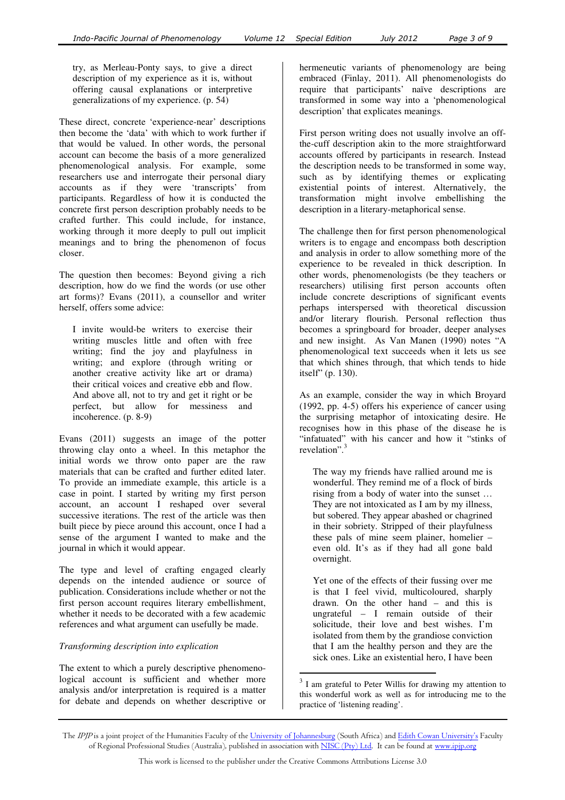try, as Merleau-Ponty says, to give a direct description of my experience as it is, without offering causal explanations or interpretive generalizations of my experience. (p. 54)

These direct, concrete 'experience-near' descriptions then become the 'data' with which to work further if that would be valued. In other words, the personal account can become the basis of a more generalized phenomenological analysis. For example, some researchers use and interrogate their personal diary accounts as if they were 'transcripts' from participants. Regardless of how it is conducted the concrete first person description probably needs to be crafted further. This could include, for instance, working through it more deeply to pull out implicit meanings and to bring the phenomenon of focus closer.

The question then becomes: Beyond giving a rich description, how do we find the words (or use other art forms)? Evans (2011), a counsellor and writer herself, offers some advice:

I invite would-be writers to exercise their writing muscles little and often with free writing; find the joy and playfulness in writing; and explore (through writing or another creative activity like art or drama) their critical voices and creative ebb and flow. And above all, not to try and get it right or be perfect, but allow for messiness and incoherence. (p. 8-9)

Evans (2011) suggests an image of the potter throwing clay onto a wheel. In this metaphor the initial words we throw onto paper are the raw materials that can be crafted and further edited later. To provide an immediate example, this article is a case in point. I started by writing my first person account, an account I reshaped over several successive iterations. The rest of the article was then built piece by piece around this account, once I had a sense of the argument I wanted to make and the journal in which it would appear.

The type and level of crafting engaged clearly depends on the intended audience or source of publication. Considerations include whether or not the first person account requires literary embellishment, whether it needs to be decorated with a few academic references and what argument can usefully be made.

# *Transforming description into explication*

The extent to which a purely descriptive phenomenological account is sufficient and whether more analysis and/or interpretation is required is a matter for debate and depends on whether descriptive or hermeneutic variants of phenomenology are being embraced (Finlay, 2011). All phenomenologists do require that participants' naïve descriptions are transformed in some way into a 'phenomenological description' that explicates meanings.

First person writing does not usually involve an offthe-cuff description akin to the more straightforward accounts offered by participants in research. Instead the description needs to be transformed in some way, such as by identifying themes or explicating existential points of interest. Alternatively, the transformation might involve embellishing the description in a literary-metaphorical sense.

The challenge then for first person phenomenological writers is to engage and encompass both description and analysis in order to allow something more of the experience to be revealed in thick description. In other words, phenomenologists (be they teachers or researchers) utilising first person accounts often include concrete descriptions of significant events perhaps interspersed with theoretical discussion and/or literary flourish. Personal reflection thus becomes a springboard for broader, deeper analyses and new insight. As Van Manen (1990) notes "A phenomenological text succeeds when it lets us see that which shines through, that which tends to hide itself" (p. 130).

As an example, consider the way in which Broyard (1992, pp. 4-5) offers his experience of cancer using the surprising metaphor of intoxicating desire. He recognises how in this phase of the disease he is "infatuated" with his cancer and how it "stinks of revelation".<sup>3</sup>

The way my friends have rallied around me is wonderful. They remind me of a flock of birds rising from a body of water into the sunset … They are not intoxicated as I am by my illness, but sobered. They appear abashed or chagrined in their sobriety. Stripped of their playfulness these pals of mine seem plainer, homelier – even old. It's as if they had all gone bald overnight.

Yet one of the effects of their fussing over me is that I feel vivid, multicoloured, sharply drawn. On the other hand – and this is ungrateful – I remain outside of their solicitude, their love and best wishes. I'm isolated from them by the grandiose conviction that I am the healthy person and they are the sick ones. Like an existential hero, I have been

 $\overline{a}$ 

 $3$  I am grateful to Peter Willis for drawing my attention to this wonderful work as well as for introducing me to the practice of 'listening reading'.

The *IPJP* is a joint project of the Humanities Faculty of the <u>University of Johannesburg</u> (South Africa) and <u>Edith Cowan University's</u> Faculty of Regional Professional Studies (Australia), published in association with <u>NISC (Pty) Ltd</u>. It can be found at <u>www.ipjp.org</u>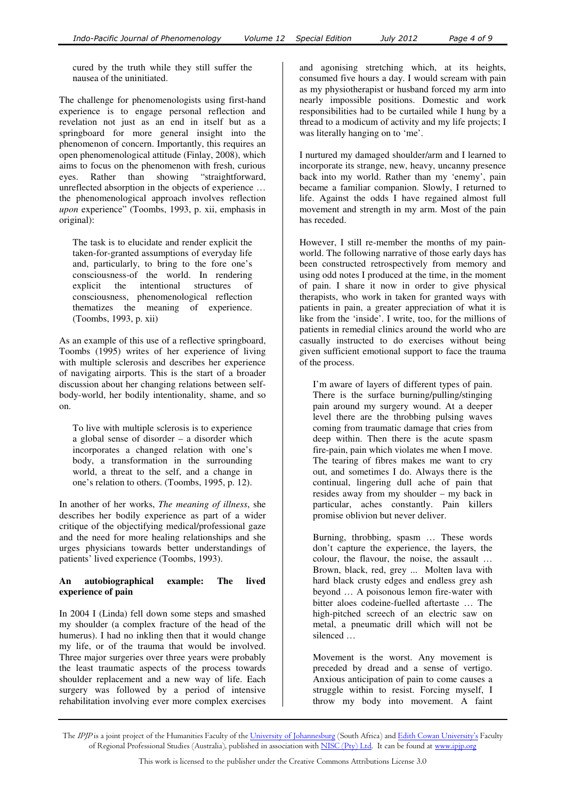cured by the truth while they still suffer the nausea of the uninitiated.

The challenge for phenomenologists using first-hand experience is to engage personal reflection and revelation not just as an end in itself but as a springboard for more general insight into the phenomenon of concern. Importantly, this requires an open phenomenological attitude (Finlay, 2008), which aims to focus on the phenomenon with fresh, curious eyes. Rather than showing "straightforward, unreflected absorption in the objects of experience … the phenomenological approach involves reflection *upon* experience" (Toombs, 1993, p. xii, emphasis in original):

The task is to elucidate and render explicit the taken-for-granted assumptions of everyday life and, particularly, to bring to the fore one's consciousness-of the world. In rendering explicit the intentional structures of consciousness, phenomenological reflection thematizes the meaning of experience. (Toombs, 1993, p. xii)

As an example of this use of a reflective springboard, Toombs (1995) writes of her experience of living with multiple sclerosis and describes her experience of navigating airports. This is the start of a broader discussion about her changing relations between selfbody-world, her bodily intentionality, shame, and so on.

To live with multiple sclerosis is to experience a global sense of disorder – a disorder which incorporates a changed relation with one's body, a transformation in the surrounding world, a threat to the self, and a change in one's relation to others. (Toombs, 1995, p. 12).

In another of her works, *The meaning of illness*, she describes her bodily experience as part of a wider critique of the objectifying medical/professional gaze and the need for more healing relationships and she urges physicians towards better understandings of patients' lived experience (Toombs, 1993).

# **An autobiographical example: The lived experience of pain**

In 2004 I (Linda) fell down some steps and smashed my shoulder (a complex fracture of the head of the humerus). I had no inkling then that it would change my life, or of the trauma that would be involved. Three major surgeries over three years were probably the least traumatic aspects of the process towards shoulder replacement and a new way of life. Each surgery was followed by a period of intensive rehabilitation involving ever more complex exercises

and agonising stretching which, at its heights, consumed five hours a day. I would scream with pain as my physiotherapist or husband forced my arm into nearly impossible positions. Domestic and work responsibilities had to be curtailed while I hung by a thread to a modicum of activity and my life projects; I was literally hanging on to 'me'.

I nurtured my damaged shoulder/arm and I learned to incorporate its strange, new, heavy, uncanny presence back into my world. Rather than my 'enemy', pain became a familiar companion. Slowly, I returned to life. Against the odds I have regained almost full movement and strength in my arm. Most of the pain has receded.

However, I still re-member the months of my painworld. The following narrative of those early days has been constructed retrospectively from memory and using odd notes I produced at the time, in the moment of pain. I share it now in order to give physical therapists, who work in taken for granted ways with patients in pain, a greater appreciation of what it is like from the 'inside'. I write, too, for the millions of patients in remedial clinics around the world who are casually instructed to do exercises without being given sufficient emotional support to face the trauma of the process.

I'm aware of layers of different types of pain. There is the surface burning/pulling/stinging pain around my surgery wound. At a deeper level there are the throbbing pulsing waves coming from traumatic damage that cries from deep within. Then there is the acute spasm fire-pain, pain which violates me when I move. The tearing of fibres makes me want to cry out, and sometimes I do. Always there is the continual, lingering dull ache of pain that resides away from my shoulder – my back in particular, aches constantly. Pain killers promise oblivion but never deliver.

Burning, throbbing, spasm … These words don't capture the experience, the layers, the colour, the flavour, the noise, the assault … Brown, black, red, grey ... Molten lava with hard black crusty edges and endless grey ash beyond … A poisonous lemon fire-water with bitter aloes codeine-fuelled aftertaste … The high-pitched screech of an electric saw on metal, a pneumatic drill which will not be silenced …

Movement is the worst. Any movement is preceded by dread and a sense of vertigo. Anxious anticipation of pain to come causes a struggle within to resist. Forcing myself, I throw my body into movement. A faint

The *IPJP* is a joint project of the Humanities Faculty of the <u>University of Johannesburg</u> (South Africa) and <u>Edith Cowan University's</u> Faculty of Regional Professional Studies (Australia), published in association with <u>NISC (Pty) Ltd</u>. It can be found at <u>www.ipjp.org</u>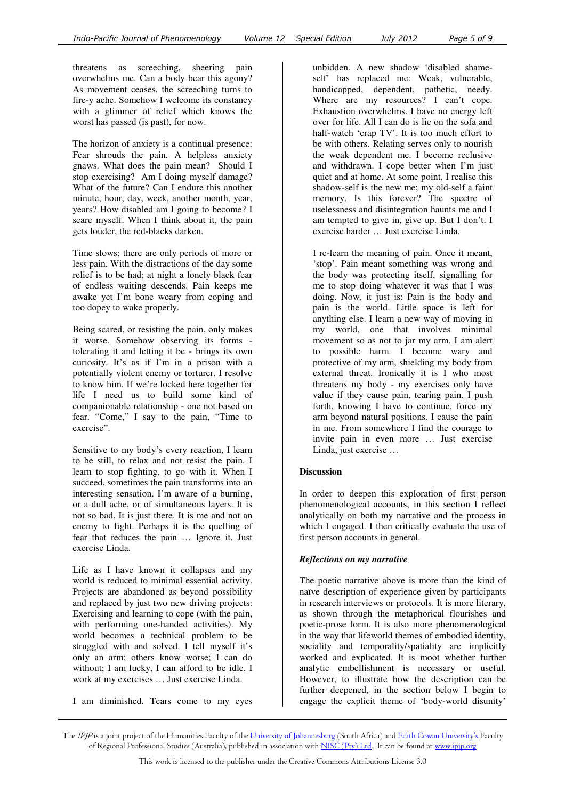threatens as screeching, sheering pain overwhelms me. Can a body bear this agony? As movement ceases, the screeching turns to fire-y ache. Somehow I welcome its constancy with a glimmer of relief which knows the worst has passed (is past), for now.

The horizon of anxiety is a continual presence: Fear shrouds the pain. A helpless anxiety gnaws. What does the pain mean? Should I stop exercising? Am I doing myself damage? What of the future? Can I endure this another minute, hour, day, week, another month, year, years? How disabled am I going to become? I scare myself. When I think about it, the pain gets louder, the red-blacks darken.

Time slows; there are only periods of more or less pain. With the distractions of the day some relief is to be had; at night a lonely black fear of endless waiting descends. Pain keeps me awake yet I'm bone weary from coping and too dopey to wake properly.

Being scared, or resisting the pain, only makes it worse. Somehow observing its forms tolerating it and letting it be - brings its own curiosity. It's as if I'm in a prison with a potentially violent enemy or torturer. I resolve to know him. If we're locked here together for life I need us to build some kind of companionable relationship - one not based on fear. "Come," I say to the pain, "Time to exercise".

Sensitive to my body's every reaction, I learn to be still, to relax and not resist the pain. I learn to stop fighting, to go with it. When I succeed, sometimes the pain transforms into an interesting sensation. I'm aware of a burning, or a dull ache, or of simultaneous layers. It is not so bad. It is just there. It is me and not an enemy to fight. Perhaps it is the quelling of fear that reduces the pain … Ignore it. Just exercise Linda.

Life as I have known it collapses and my world is reduced to minimal essential activity. Projects are abandoned as beyond possibility and replaced by just two new driving projects: Exercising and learning to cope (with the pain, with performing one-handed activities). My world becomes a technical problem to be struggled with and solved. I tell myself it's only an arm; others know worse; I can do without; I am lucky, I can afford to be idle. I work at my exercises … Just exercise Linda.

I am diminished. Tears come to my eyes

unbidden. A new shadow 'disabled shameself' has replaced me: Weak, vulnerable, handicapped, dependent, pathetic, needy. Where are my resources? I can't cope. Exhaustion overwhelms. I have no energy left over for life. All I can do is lie on the sofa and half-watch 'crap TV'. It is too much effort to be with others. Relating serves only to nourish the weak dependent me. I become reclusive and withdrawn. I cope better when I'm just quiet and at home. At some point, I realise this shadow-self is the new me; my old-self a faint memory. Is this forever? The spectre of uselessness and disintegration haunts me and I am tempted to give in, give up. But I don't. I exercise harder … Just exercise Linda.

I re-learn the meaning of pain. Once it meant, 'stop'. Pain meant something was wrong and the body was protecting itself, signalling for me to stop doing whatever it was that I was doing. Now, it just is: Pain is the body and pain is the world. Little space is left for anything else. I learn a new way of moving in my world, one that involves minimal movement so as not to jar my arm. I am alert to possible harm. I become wary and protective of my arm, shielding my body from external threat. Ironically it is I who most threatens my body - my exercises only have value if they cause pain, tearing pain. I push forth, knowing I have to continue, force my arm beyond natural positions. I cause the pain in me. From somewhere I find the courage to invite pain in even more … Just exercise Linda, just exercise …

## **Discussion**

In order to deepen this exploration of first person phenomenological accounts, in this section I reflect analytically on both my narrative and the process in which I engaged. I then critically evaluate the use of first person accounts in general.

# *Reflections on my narrative*

The poetic narrative above is more than the kind of naïve description of experience given by participants in research interviews or protocols. It is more literary, as shown through the metaphorical flourishes and poetic-prose form. It is also more phenomenological in the way that lifeworld themes of embodied identity, sociality and temporality/spatiality are implicitly worked and explicated. It is moot whether further analytic embellishment is necessary or useful. However, to illustrate how the description can be further deepened, in the section below I begin to engage the explicit theme of 'body-world disunity'

The *IPJP* is a joint project of the Humanities Faculty of the <u>University of Johannesburg</u> (South Africa) and <u>Edith Cowan University's</u> Faculty of Regional Professional Studies (Australia), published in association with <u>NISC (Pty) Ltd</u>. It can be found at <u>www.ipjp.org</u>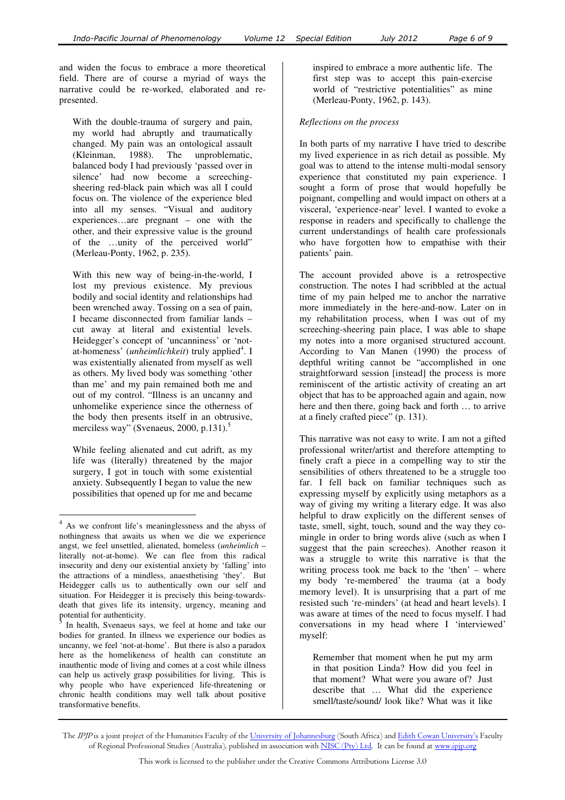and widen the focus to embrace a more theoretical field. There are of course a myriad of ways the narrative could be re-worked, elaborated and represented.

With the double-trauma of surgery and pain, my world had abruptly and traumatically changed. My pain was an ontological assault (Kleinman, 1988). The unproblematic, balanced body I had previously 'passed over in silence' had now become a screechingsheering red-black pain which was all I could focus on. The violence of the experience bled into all my senses. "Visual and auditory experiences…are pregnant – one with the other, and their expressive value is the ground of the …unity of the perceived world" (Merleau-Ponty, 1962, p. 235).

With this new way of being-in-the-world, I lost my previous existence. My previous bodily and social identity and relationships had been wrenched away. Tossing on a sea of pain, I became disconnected from familiar lands – cut away at literal and existential levels. Heidegger's concept of 'uncanniness' or 'notat-homeness' (*unheimlichkeit*) truly applied<sup>4</sup>. I was existentially alienated from myself as well as others. My lived body was something 'other than me' and my pain remained both me and out of my control. "Illness is an uncanny and unhomelike experience since the otherness of the body then presents itself in an obtrusive, merciless way" (Svenaeus, 2000, p.131).<sup>5</sup>

While feeling alienated and cut adrift, as my life was (literally) threatened by the major surgery, I got in touch with some existential anxiety. Subsequently I began to value the new possibilities that opened up for me and became

 $\overline{a}$ 

inspired to embrace a more authentic life. The first step was to accept this pain-exercise world of "restrictive potentialities" as mine (Merleau-Ponty, 1962, p. 143).

## *Reflections on the process*

In both parts of my narrative I have tried to describe my lived experience in as rich detail as possible. My goal was to attend to the intense multi-modal sensory experience that constituted my pain experience. I sought a form of prose that would hopefully be poignant, compelling and would impact on others at a visceral, 'experience-near' level. I wanted to evoke a response in readers and specifically to challenge the current understandings of health care professionals who have forgotten how to empathise with their patients' pain.

The account provided above is a retrospective construction. The notes I had scribbled at the actual time of my pain helped me to anchor the narrative more immediately in the here-and-now. Later on in my rehabilitation process, when I was out of my screeching-sheering pain place, I was able to shape my notes into a more organised structured account. According to Van Manen (1990) the process of depthful writing cannot be "accomplished in one straightforward session [instead] the process is more reminiscent of the artistic activity of creating an art object that has to be approached again and again, now here and then there, going back and forth … to arrive at a finely crafted piece" (p. 131).

This narrative was not easy to write. I am not a gifted professional writer/artist and therefore attempting to finely craft a piece in a compelling way to stir the sensibilities of others threatened to be a struggle too far. I fell back on familiar techniques such as expressing myself by explicitly using metaphors as a way of giving my writing a literary edge. It was also helpful to draw explicitly on the different senses of taste, smell, sight, touch, sound and the way they comingle in order to bring words alive (such as when I suggest that the pain screeches). Another reason it was a struggle to write this narrative is that the writing process took me back to the 'then' – where my body 're-membered' the trauma (at a body memory level). It is unsurprising that a part of me resisted such 're-minders' (at head and heart levels). I was aware at times of the need to focus myself. I had conversations in my head where I 'interviewed' myself:

Remember that moment when he put my arm in that position Linda? How did you feel in that moment? What were you aware of? Just describe that … What did the experience smell/taste/sound/ look like? What was it like

<sup>&</sup>lt;sup>4</sup> As we confront life's meaninglessness and the abyss of nothingness that awaits us when we die we experience angst, we feel unsettled, alienated, homeless (*unheimlich* – literally not-at-home). We can flee from this radical insecurity and deny our existential anxiety by 'falling' into the attractions of a mindless, anaesthetising 'they'. But Heidegger calls us to authentically own our self and situation. For Heidegger it is precisely this being-towardsdeath that gives life its intensity, urgency, meaning and potential for authenticity.

In health, Svenaeus says, we feel at home and take our bodies for granted. In illness we experience our bodies as uncanny, we feel 'not-at-home'. But there is also a paradox here as the homelikeness of health can constitute an inauthentic mode of living and comes at a cost while illness can help us actively grasp possibilities for living. This is why people who have experienced life-threatening or chronic health conditions may well talk about positive transformative benefits.

The IPJP is a joint project of the Humanities Faculty of the University of Johannesburg (South Africa) and Edith Cowan University's Faculty of Regional Professional Studies (Australia), published in association with NISC (Pty) Ltd. It can be found at www.ipjp.org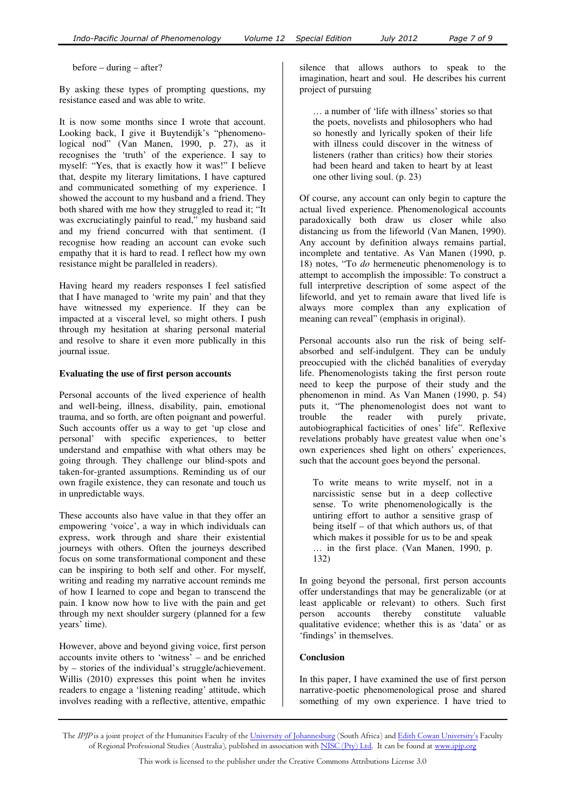before – during – after?

By asking these types of prompting questions, my resistance eased and was able to write.

It is now some months since I wrote that account. Looking back, I give it Buytendijk's "phenomenological nod" (Van Manen, 1990, p. 27), as it recognises the 'truth' of the experience. I say to myself: "Yes, that is exactly how it was!" I believe that, despite my literary limitations, I have captured and communicated something of my experience. I showed the account to my husband and a friend. They both shared with me how they struggled to read it; "It was excruciatingly painful to read," my husband said and my friend concurred with that sentiment. (I recognise how reading an account can evoke such empathy that it is hard to read. I reflect how my own resistance might be paralleled in readers).

Having heard my readers responses I feel satisfied that I have managed to 'write my pain' and that they have witnessed my experience. If they can be impacted at a visceral level, so might others. I push through my hesitation at sharing personal material and resolve to share it even more publically in this journal issue.

## **Evaluating the use of first person accounts**

Personal accounts of the lived experience of health and well-being, illness, disability, pain, emotional trauma, and so forth, are often poignant and powerful. Such accounts offer us a way to get 'up close and personal' with specific experiences, to better understand and empathise with what others may be going through. They challenge our blind-spots and taken-for-granted assumptions. Reminding us of our own fragile existence, they can resonate and touch us in unpredictable ways.

These accounts also have value in that they offer an empowering 'voice', a way in which individuals can express, work through and share their existential journeys with others. Often the journeys described focus on some transformational component and these can be inspiring to both self and other. For myself, writing and reading my narrative account reminds me of how I learned to cope and began to transcend the pain. I know now how to live with the pain and get through my next shoulder surgery (planned for a few years' time).

However, above and beyond giving voice, first person accounts invite others to 'witness' – and be enriched by – stories of the individual's struggle/achievement. Willis (2010) expresses this point when he invites readers to engage a 'listening reading' attitude, which involves reading with a reflective, attentive, empathic

silence that allows authors to speak to the imagination, heart and soul. He describes his current project of pursuing

… a number of 'life with illness' stories so that the poets, novelists and philosophers who had so honestly and lyrically spoken of their life with illness could discover in the witness of listeners (rather than critics) how their stories had been heard and taken to heart by at least one other living soul. (p. 23)

Of course, any account can only begin to capture the actual lived experience. Phenomenological accounts paradoxically both draw us closer while also distancing us from the lifeworld (Van Manen, 1990). Any account by definition always remains partial, incomplete and tentative. As Van Manen (1990, p. 18) notes, "To *do* hermeneutic phenomenology is to attempt to accomplish the impossible: To construct a full interpretive description of some aspect of the lifeworld, and yet to remain aware that lived life is always more complex than any explication of meaning can reveal" (emphasis in original).

Personal accounts also run the risk of being selfabsorbed and self-indulgent. They can be unduly preoccupied with the clichéd banalities of everyday life. Phenomenologists taking the first person route need to keep the purpose of their study and the phenomenon in mind. As Van Manen (1990, p. 54) puts it, "The phenomenologist does not want to trouble the reader with purely private. trouble the reader with purely private, autobiographical facticities of ones' life". Reflexive revelations probably have greatest value when one's own experiences shed light on others' experiences, such that the account goes beyond the personal.

To write means to write myself, not in a narcissistic sense but in a deep collective sense. To write phenomenologically is the untiring effort to author a sensitive grasp of being itself – of that which authors us, of that which makes it possible for us to be and speak … in the first place. (Van Manen, 1990, p. 132)

In going beyond the personal, first person accounts offer understandings that may be generalizable (or at least applicable or relevant) to others. Such first person accounts thereby constitute valuable qualitative evidence; whether this is as 'data' or as 'findings' in themselves.

#### **Conclusion**

In this paper, I have examined the use of first person narrative-poetic phenomenological prose and shared something of my own experience. I have tried to

The *IPJP* is a joint project of the Humanities Faculty of the <u>University of Johannesburg</u> (South Africa) and <u>Edith Cowan University's</u> Faculty of Regional Professional Studies (Australia), published in association with <u>NISC (Pty) Ltd</u>. It can be found at <u>www.ipjp.org</u>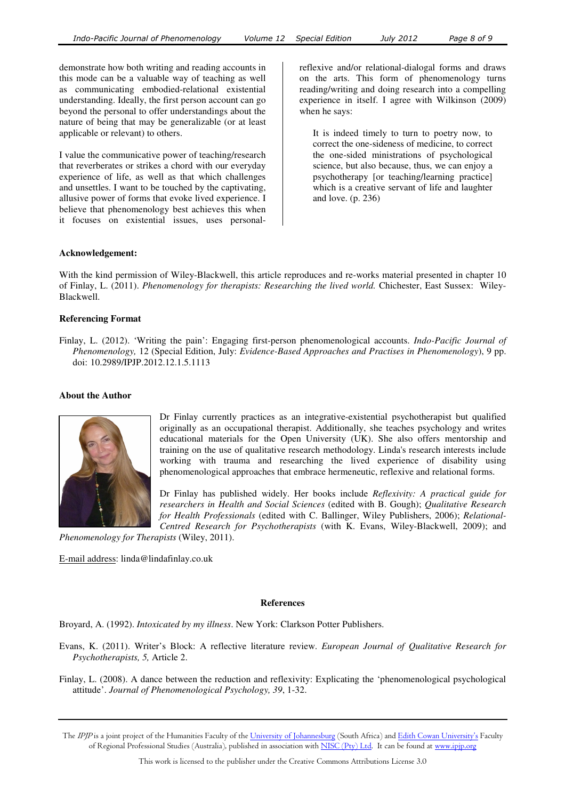demonstrate how both writing and reading accounts in this mode can be a valuable way of teaching as well as communicating embodied-relational existential understanding. Ideally, the first person account can go beyond the personal to offer understandings about the nature of being that may be generalizable (or at least applicable or relevant) to others.

I value the communicative power of teaching/research that reverberates or strikes a chord with our everyday experience of life, as well as that which challenges and unsettles. I want to be touched by the captivating, allusive power of forms that evoke lived experience. I believe that phenomenology best achieves this when it focuses on existential issues, uses personalreflexive and/or relational-dialogal forms and draws on the arts. This form of phenomenology turns reading/writing and doing research into a compelling experience in itself. I agree with Wilkinson (2009) when he says:

It is indeed timely to turn to poetry now, to correct the one-sideness of medicine, to correct the one-sided ministrations of psychological science, but also because, thus, we can enjoy a psychotherapy [or teaching/learning practice] which is a creative servant of life and laughter and love. (p. 236)

#### **Acknowledgement:**

With the kind permission of Wiley-Blackwell, this article reproduces and re-works material presented in chapter 10 of Finlay, L. (2011). *Phenomenology for therapists: Researching the lived world.* Chichester, East Sussex: Wiley-Blackwell.

## **Referencing Format**

Finlay, L. (2012). 'Writing the pain': Engaging first-person phenomenological accounts. *Indo-Pacific Journal of Phenomenology,* 12 (Special Edition, July: *Evidence-Based Approaches and Practises in Phenomenology*), 9 pp. doi: 10.2989/IPJP.2012.12.1.5.1113

#### **About the Author**



Dr Finlay currently practices as an integrative-existential psychotherapist but qualified originally as an occupational therapist. Additionally, she teaches psychology and writes educational materials for the Open University (UK). She also offers mentorship and training on the use of qualitative research methodology. Linda's research interests include working with trauma and researching the lived experience of disability using phenomenological approaches that embrace hermeneutic, reflexive and relational forms.

Dr Finlay has published widely. Her books include *Reflexivity: A practical guide for researchers in Health and Social Sciences* (edited with B. Gough); *Qualitative Research for Health Professionals* (edited with C. Ballinger, Wiley Publishers, 2006); *Relational-Centred Research for Psychotherapists* (with K. Evans, Wiley-Blackwell, 2009); and

*Phenomenology for Therapists* (Wiley, 2011).

E-mail address: linda@lindafinlay.co.uk

#### **References**

Broyard, A. (1992). *Intoxicated by my illness*. New York: Clarkson Potter Publishers.

Evans, K. (2011). Writer's Block: A reflective literature review. *European Journal of Qualitative Research for Psychotherapists, 5,* Article 2.

Finlay, L. (2008). A dance between the reduction and reflexivity: Explicating the 'phenomenological psychological attitude'. *Journal of Phenomenological Psychology, 39*, 1-32.

The IPJP is a joint project of the Humanities Faculty of the University of Johannesburg (South Africa) and Edith Cowan University's Faculty of Regional Professional Studies (Australia), published in association with NISC (Pty) Ltd. It can be found at www.ipjp.org